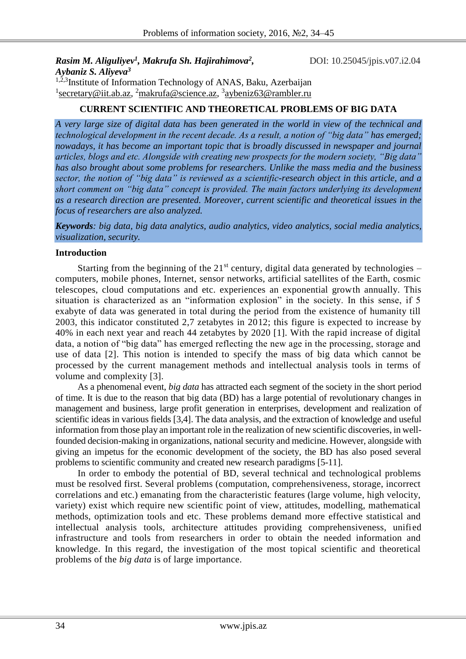# *Rasim M. Aliguliyev<sup>1</sup> , Makrufa Sh. Hajirahimova<sup>2</sup>*

*,* DOI: 10.25045/jpis.v07.i2.04

*Aybaniz S. Aliyeva<sup>3</sup>* <sup>1,2,3</sup>Institute of Information Technology of ANAS, Baku, Azerbaijan <sup>1</sup> secretary@iit.ab.az, <sup>2</sup>makrufa@science.az, <sup>3</sup>aybeniz63@rambler.ru

## **CURRENT SCIENTIFIC AND THEORETICAL PROBLEMS OF BIG DATA**

*A very large size of digital data has been generated in the world in view of the technical and technological development in the recent decade. As a result, a notion of "big data" has emerged; nowadays, it has become an important topic that is broadly discussed in newspaper and journal articles, blogs and etc. Alongside with creating new prospects for the modern society, "Big data" has also brought about some problems for researchers. Unlike the mass media and the business sector, the notion of "big data" is reviewed as a scientific-research object in this article, and a short comment on "big data" concept is provided. The main factors underlying its development as a research direction are presented. Moreover, current scientific and theoretical issues in the focus of researchers are also analyzed.* 

*Keywords: big data, big data analytics, audio analytics, video analytics, social media analytics, visualization, security.*

#### **Introduction**

Starting from the beginning of the  $21<sup>st</sup>$  century, digital data generated by technologies – computers, mobile phones, Internet, sensor networks, artificial satellites of the Earth, cosmic telescopes, cloud computations and etc. experiences an exponential growth annually. This situation is characterized as an "information explosion" in the society. In this sense, if 5 exabyte of data was generated in total during the period from the existence of humanity till 2003, this indicator constituted 2,7 zetabytes in 2012; this figure is expected to increase by 40% in each next year and reach 44 zetabytes by 2020 [1]. With the rapid increase of digital data, a notion of "big data" has emerged reflecting the new age in the processing, storage and use of data [2]. This notion is intended to specify the mass of big data which cannot be processed by the current management methods and intellectual analysis tools in terms of volume and complexity [3].

As a phenomenal event, *big data* has attracted each segment of the society in the short period of time. It is due to the reason that big data (BD) has a large potential of revolutionary changes in management and business, large profit generation in enterprises, development and realization of scientific ideas in various fields [3,4]. The data analysis, and the extraction of knowledge and useful information from those play an important role in the realization of new scientific discoveries, in wellfounded decision-making in organizations, national security and medicine. However, alongside with giving an impetus for the economic development of the society, the BD has also posed several problems to scientific community and created new research paradigms [5-11].

In order to embody the potential of BD, several technical and technological problems must be resolved first. Several problems (computation, comprehensiveness, storage, incorrect correlations and etc.) emanating from the characteristic features (large volume, high velocity, variety) exist which require new scientific point of view, attitudes, modelling, mathematical methods, optimization tools and etc. These problems demand more effective statistical and intellectual analysis tools, architecture attitudes providing comprehensiveness, unified infrastructure and tools from researchers in order to obtain the needed information and knowledge. In this regard, the investigation of the most topical scientific and theoretical problems of the *big data* is of large importance.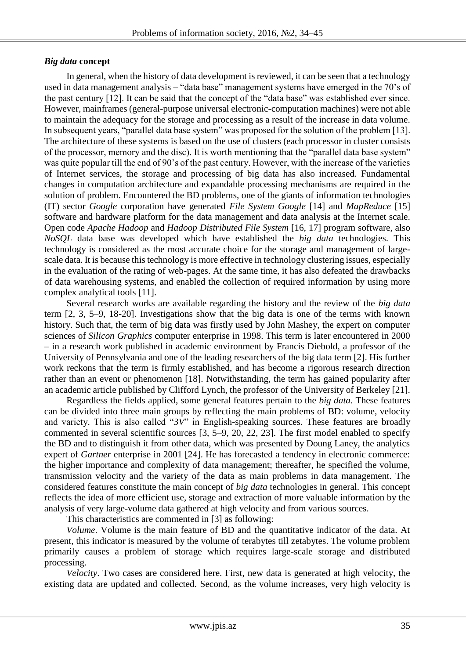### *Big data* **concept**

In general, when the history of data development is reviewed, it can be seen that a technology used in data management analysis – "data base" management systems have emerged in the 70's of the past century [12]. It can be said that the concept of the "data base" was established ever since. However, mainframes (general-purpose universal electronic-computation machines) were not able to maintain the adequacy for the storage and processing as a result of the increase in data volume. In subsequent years, "parallel data base system" was proposed for the solution of the problem [13]. The architecture of these systems is based on the use of clusters (each processor in cluster consists of the processor, memory and the disc). It is worth mentioning that the "parallel data base system" was quite popular till the end of 90's of the past century. However, with the increase of the varieties of Internet services, the storage and processing of big data has also increased. Fundamental changes in computation architecture and expandable processing mechanisms are required in the solution of problem. Encountered the BD problems, one of the giants of information technologies (IT) sector *Google* corporation have generated *File System Google* [14] and *MapReduce* [15] software and hardware platform for the data management and data analysis at the Internet scale. Open code *Apache Hadoop* and *Hadoop Distributed File System* [16, 17] program software, also *NoSQL* data base was developed which have established the *big data* technologies. This technology is considered as the most accurate choice for the storage and management of largescale data. It is because this technology is more effective in technology clustering issues, especially in the evaluation of the rating of web-pages. At the same time, it has also defeated the drawbacks of data warehousing systems, and enabled the collection of required information by using more complex analytical tools [11].

Several research works are available regarding the history and the review of the *big data* term [2, 3, 5–9, 18-20]. Investigations show that the big data is one of the terms with known history. Such that, the term of big data was firstly used by John Mashey, the expert on computer sciences of *Silicon Graphics* computer enterprise in 1998. This term is later encountered in 2000 – in a research work published in academic environment by Francis Diebold, a professor of the University of Pennsylvania and one of the leading researchers of the big data term [2]. His further work reckons that the term is firmly established, and has become a rigorous research direction rather than an event or phenomenon [18]. Notwithstanding, the term has gained popularity after an academic article published by Clifford Lynch, the professor of the University of Berkeley [21].

Regardless the fields applied, some general features pertain to the *big data*. These features can be divided into three main groups by reflecting the main problems of BD: volume, velocity and variety. This is also called "*3V*" in English-speaking sources. These features are broadly commented in several scientific sources [3, 5–9, 20, 22, 23]. The first model enabled to specify the BD and to distinguish it from other data, which was presented by Doung Laney, the analytics expert of *Gartner* enterprise in 2001 [24]. He has forecasted a tendency in electronic commerce: the higher importance and complexity of data management; thereafter, he specified the volume, transmission velocity and the variety of the data as main problems in data management. The considered features constitute the main concept of *big data* technologies in general. This concept reflects the idea of more efficient use, storage and extraction of more valuable information by the analysis of very large-volume data gathered at high velocity and from various sources.

This characteristics are commented in [3] as following:

*Volume*. Volume is the main feature of BD and the quantitative indicator of the data. At present, this indicator is measured by the volume of terabytes till zetabytes. The volume problem primarily causes a problem of storage which requires large-scale storage and distributed processing.

*Velocity*. Two cases are considered here. First, new data is generated at high velocity, the existing data are updated and collected. Second, as the volume increases, very high velocity is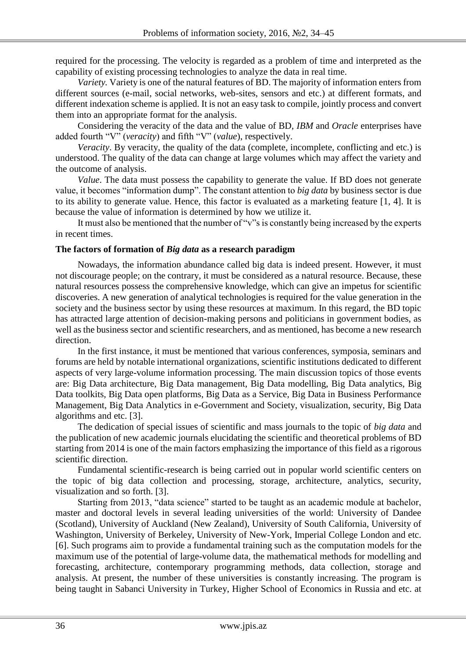required for the processing. The velocity is regarded as a problem of time and interpreted as the capability of existing processing technologies to analyze the data in real time.

*Variety.* Variety is one of the natural features of BD. The majority of information enters from different sources (e-mail, social networks, web-sites, sensors and etc.) at different formats, and different indexation scheme is applied. It is not an easy task to compile, jointly process and convert them into an appropriate format for the analysis.

Considering the veracity of the data and the value of BD, *IBM* and *Oracle* enterprises have added fourth "V" (*veracity*) and fifth "V" (*value*), respectively.

*Veracity*. By veracity, the quality of the data (complete, incomplete, conflicting and etc.) is understood. The quality of the data can change at large volumes which may affect the variety and the outcome of analysis.

*Value*. The data must possess the capability to generate the value. If BD does not generate value, it becomes "information dump". The constant attention to *big data* by business sector is due to its ability to generate value. Hence, this factor is evaluated as a marketing feature [1, 4]. It is because the value of information is determined by how we utilize it.

It must also be mentioned that the number of "v"s is constantly being increased by the experts in recent times.

#### **The factors of formation of** *Big data* **as a research paradigm**

Nowadays, the information abundance called big data is indeed present. However, it must not discourage people; on the contrary, it must be considered as a natural resource. Because, these natural resources possess the comprehensive knowledge, which can give an impetus for scientific discoveries. A new generation of analytical technologies is required for the value generation in the society and the business sector by using these resources at maximum. In this regard, the BD topic has attracted large attention of decision-making persons and politicians in government bodies, as well as the business sector and scientific researchers, and as mentioned, has become a new research direction.

In the first instance, it must be mentioned that various conferences, symposia, seminars and forums are held by notable international organizations, scientific institutions dedicated to different aspects of very large-volume information processing. The main discussion topics of those events are: Big Data architecture, Big Data management, Big Data modelling, Big Data analytics, Big Data toolkits, Big Data open platforms, Big Data as a Service, Big Data in Business Performance Management, Big Data Analytics in e-Government and Society, visualization, security, Big Data algorithms and etc. [3].

The dedication of special issues of scientific and mass journals to the topic of *big data* and the publication of new academic journals elucidating the scientific and theoretical problems of BD starting from 2014 is one of the main factors emphasizing the importance of this field as a rigorous scientific direction.

Fundamental scientific-research is being carried out in popular world scientific centers on the topic of big data collection and processing, storage, architecture, analytics, security, visualization and so forth. [3].

Starting from 2013, "data science" started to be taught as an academic module at bachelor, master and doctoral levels in several leading universities of the world: University of Dandee (Scotland), University of Auckland (New Zealand), University of South California, University of Washington, University of Berkeley, University of New-York, Imperial College London and etc. [6]. Such programs aim to provide a fundamental training such as the computation models for the maximum use of the potential of large-volume data, the mathematical methods for modelling and forecasting, architecture, contemporary programming methods, data collection, storage and analysis. At present, the number of these universities is constantly increasing. The program is being taught in Sabanci University in Turkey, Higher School of Economics in Russia and etc. at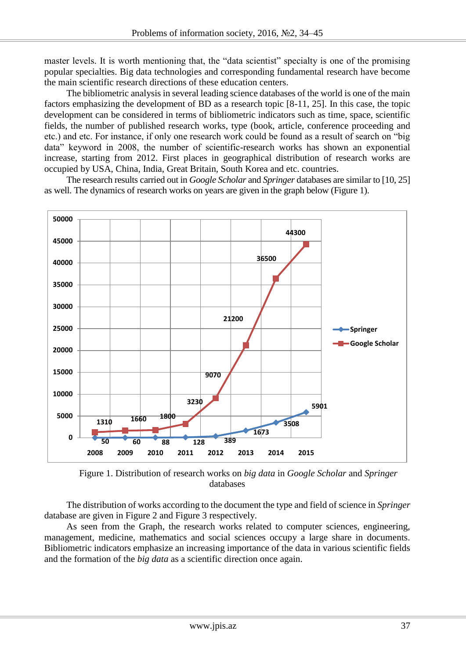master levels. It is worth mentioning that, the "data scientist" specialty is one of the promising popular specialties. Big data technologies and corresponding fundamental research have become the main scientific research directions of these education centers.

The bibliometric analysis in several leading science databases of the world is one of the main factors emphasizing the development of BD as a research topic [8-11, 25]. In this case, the topic development can be considered in terms of bibliometric indicators such as time, space, scientific fields, the number of published research works, type (book, article, conference proceeding and etc.) and etc. For instance, if only one research work could be found as a result of search on "big data" keyword in 2008, the number of scientific-research works has shown an exponential increase, starting from 2012. First places in geographical distribution of research works are occupied by USA, China, India, Great Britain, South Korea and etc. countries.

The research results carried out in *Google Scholar* and *Springer* databases are similar to [10, 25] as well. The dynamics of research works on years are given in the graph below (Figure 1).



Figure 1. Distribution of research works on *big data* in *Google Scholar* and *Springer* databases

The distribution of works according to the document the type and field of science in *Springer* database are given in Figure 2 and Figure 3 respectively.

As seen from the Graph, the research works related to computer sciences, engineering, management, medicine, mathematics and social sciences occupy a large share in documents. Bibliometric indicators emphasize an increasing importance of the data in various scientific fields and the formation of the *big data* as a scientific direction once again.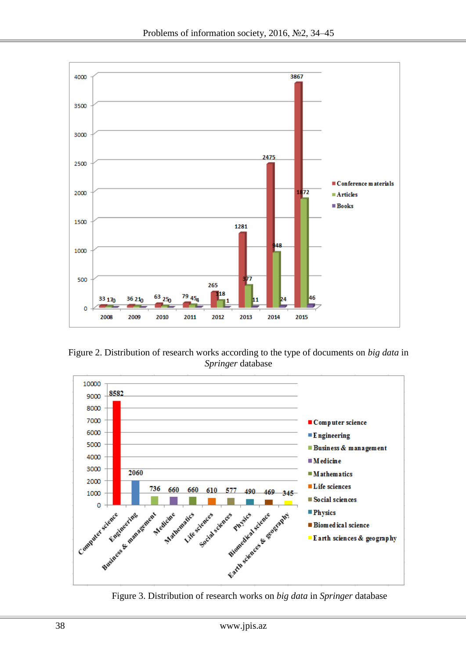

Figure 2. Distribution of research works according to the type of documents on *big data* in *Springer* database



Figure 3. Distribution of research works on *big data* in *Springer* database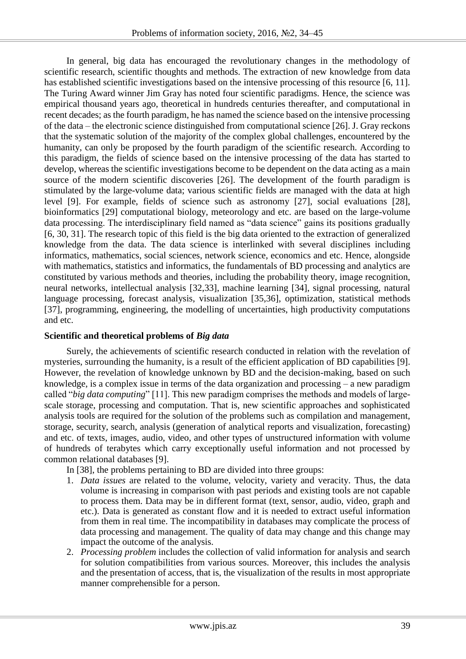In general, big data has encouraged the revolutionary changes in the methodology of scientific research, scientific thoughts and methods. The extraction of new knowledge from data has established scientific investigations based on the intensive processing of this resource [6, 11]. The Turing Award winner Jim Gray has noted four scientific paradigms. Hence, the science was empirical thousand years ago, theoretical in hundreds centuries thereafter, and computational in recent decades; as the fourth paradigm, he has named the science based on the intensive processing of the data – the electronic science distinguished from computational science [26]. J. Gray reckons that the systematic solution of the majority of the complex global challenges, encountered by the humanity, can only be proposed by the fourth paradigm of the scientific research. According to this paradigm, the fields of science based on the intensive processing of the data has started to develop, whereas the scientific investigations become to be dependent on the data acting as a main source of the modern scientific discoveries [26]. The development of the fourth paradigm is stimulated by the large-volume data; various scientific fields are managed with the data at high level [9]. For example, fields of science such as astronomy [27], social evaluations [28], bioinformatics [29] computational biology, meteorology and etc. are based on the large-volume data processing. The interdisciplinary field named as "data science" gains its positions gradually [6, 30, 31]. The research topic of this field is the big data oriented to the extraction of generalized knowledge from the data. The data science is interlinked with several disciplines including informatics, mathematics, social sciences, network science, economics and etc. Hence, alongside with mathematics, statistics and informatics, the fundamentals of BD processing and analytics are constituted by various methods and theories, including the probability theory, image recognition, neural networks, intellectual analysis [32,33], machine learning [34], signal processing, natural language processing, forecast analysis, visualization [35,36], optimization, statistical methods [37], programming, engineering, the modelling of uncertainties, high productivity computations and etc.

#### **Scientific and theoretical problems of** *Big data*

Surely, the achievements of scientific research conducted in relation with the revelation of mysteries, surrounding the humanity, is a result of the efficient application of BD capabilities [9]. However, the revelation of knowledge unknown by BD and the decision-making, based on such knowledge, is a complex issue in terms of the data organization and processing – a new paradigm called "*big data computing*" [11]. This new paradigm comprises the methods and models of largescale storage, processing and computation. That is, new scientific approaches and sophisticated analysis tools are required for the solution of the problems such as compilation and management, storage, security, search, analysis (generation of analytical reports and visualization, forecasting) and etc. of texts, images, audio, video, and other types of unstructured information with volume of hundreds of terabytes which carry exceptionally useful information and not processed by common relational databases [9].

In [38], the problems pertaining to BD are divided into three groups:

- 1. *Data issues* are related to the volume, velocity, variety and veracity. Thus, the data volume is increasing in comparison with past periods and existing tools are not capable to process them. Data may be in different format (text, sensor, audio, video, graph and etc.). Data is generated as constant flow and it is needed to extract useful information from them in real time. The incompatibility in databases may complicate the process of data processing and management. The quality of data may change and this change may impact the outcome of the analysis.
- 2. *Processing problem* includes the collection of valid information for analysis and search for solution compatibilities from various sources. Moreover, this includes the analysis and the presentation of access, that is, the visualization of the results in most appropriate manner comprehensible for a person.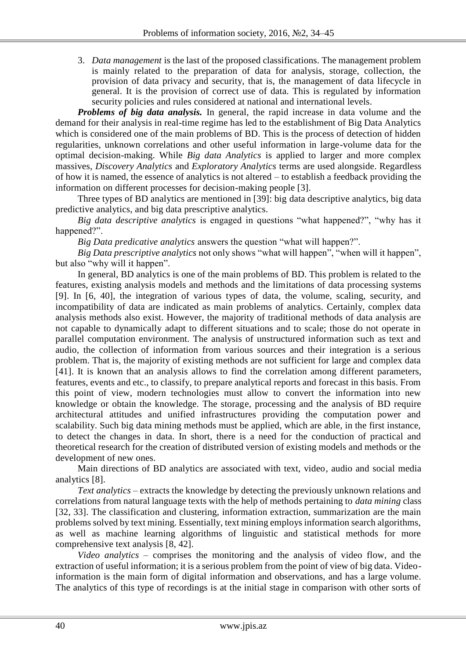3. *Data management* is the last of the proposed classifications. The management problem is mainly related to the preparation of data for analysis, storage, collection, the provision of data privacy and security, that is, the management of data lifecycle in general. It is the provision of correct use of data. This is regulated by information security policies and rules considered at national and international levels.

*Problems of big data analysis.* In general, the rapid increase in data volume and the demand for their analysis in real-time regime has led to the establishment of Big Data Analytics which is considered one of the main problems of BD. This is the process of detection of hidden regularities, unknown correlations and other useful information in large-volume data for the optimal decision-making. While *Big data Analytics* is applied to larger and more complex massives, *Discovery Analytics* and *Exploratory Analytics* terms are used alongside. Regardless of how it is named, the essence of analytics is not altered – to establish a feedback providing the information on different processes for decision-making people [3].

Three types of BD analytics are mentioned in [39]: big data descriptive analytics, big data predictive analytics, and big data prescriptive analytics.

*Big data descriptive analytics* is engaged in questions "what happened?", "why has it happened?".

*Big Data predicative analytics* answers the question "what will happen?".

*Big Data prescriptive analytics* not only shows "what will happen", "when will it happen", but also "why will it happen".

In general, BD analytics is one of the main problems of BD. This problem is related to the features, existing analysis models and methods and the limitations of data processing systems [9]. In [6, 40], the integration of various types of data, the volume, scaling, security, and incompatibility of data are indicated as main problems of analytics. Certainly, complex data analysis methods also exist. However, the majority of traditional methods of data analysis are not capable to dynamically adapt to different situations and to scale; those do not operate in parallel computation environment. The analysis of unstructured information such as text and audio, the collection of information from various sources and their integration is a serious problem. That is, the majority of existing methods are not sufficient for large and complex data [41]. It is known that an analysis allows to find the correlation among different parameters, features, events and etc., to classify, to prepare analytical reports and forecast in this basis. From this point of view, modern technologies must allow to convert the information into new knowledge or obtain the knowledge. The storage, processing and the analysis of BD require architectural attitudes and unified infrastructures providing the computation power and scalability. Such big data mining methods must be applied, which are able, in the first instance, to detect the changes in data. In short, there is a need for the conduction of practical and theoretical research for the creation of distributed version of existing models and methods or the development of new ones.

Main directions of BD analytics are associated with text, video, audio and social media analytics [8].

*Text analytics* – extracts the knowledge by detecting the previously unknown relations and correlations from natural language texts with the help of methods pertaining to *data mining* class [32, 33]. The classification and clustering, information extraction, summarization are the main problems solved by text mining. Essentially, text mining employs information search algorithms, as well as machine learning algorithms of linguistic and statistical methods for more comprehensive text analysis [8, 42].

*Video analytics* – comprises the monitoring and the analysis of video flow, and the extraction of useful information; it is a serious problem from the point of view of big data. Videoinformation is the main form of digital information and observations, and has a large volume. The analytics of this type of recordings is at the initial stage in comparison with other sorts of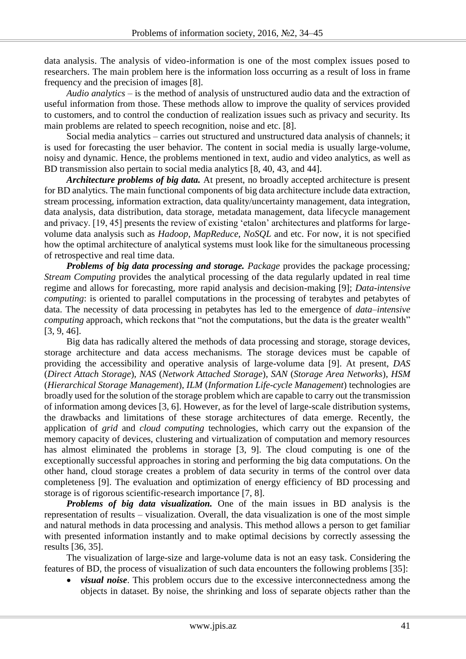data analysis. The analysis of video-information is one of the most complex issues posed to researchers. The main problem here is the information loss occurring as a result of loss in frame frequency and the precision of images [8].

*Audio analytics* – is the method of analysis of unstructured audio data and the extraction of useful information from those. These methods allow to improve the quality of services provided to customers, and to control the conduction of realization issues such as privacy and security. Its main problems are related to speech recognition, noise and etc. [8].

Social media analytics – carries out structured and unstructured data analysis of channels; it is used for forecasting the user behavior. The content in social media is usually large-volume, noisy and dynamic. Hence, the problems mentioned in text, audio and video analytics, as well as BD transmission also pertain to social media analytics [8, 40, 43, and 44].

*Architecture problems of big data.* At present, no broadly accepted architecture is present for BD analytics. The main functional components of big data architecture include data extraction, stream processing, information extraction, data quality/uncertainty management, data integration, data analysis, data distribution, data storage, metadata management, data lifecycle management and privacy. [19, 45] presents the review of existing 'etalon' architectures and platforms for largevolume data analysis such as *Hadoop*, *MapReduce*, *NoSQL* and etc. For now, it is not specified how the optimal architecture of analytical systems must look like for the simultaneous processing of retrospective and real time data.

*Problems of big data processing and storage. Package provides the package processing; Stream Computing* provides the analytical processing of the data regularly updated in real time regime and allows for forecasting, more rapid analysis and decision-making [9]; *Data-intensive computing*: is oriented to parallel computations in the processing of terabytes and petabytes of data. The necessity of data processing in petabytes has led to the emergence of *data–intensive computing approach, which reckons that "not the computations, but the data is the greater wealth"* [3, 9, 46].

Big data has radically altered the methods of data processing and storage, storage devices, storage architecture and data access mechanisms. The storage devices must be capable of providing the accessibility and operative analysis of large-volume data [9]. At present, *DAS* (*Direct Attach Storage*), *NAS* (*Network Attached Storage*), *SAN* (*Storage Area Networks*), *HSM* (*Hierarchical Storage Management*), *ILM* (*Information Life-cycle Management*) technologies are broadly used for the solution of the storage problem which are capable to carry out the transmission of information among devices [3, 6]. However, as for the level of large-scale distribution systems, the drawbacks and limitations of these storage architectures of data emerge. Recently, the application of *grid* and *cloud computing* technologies, which carry out the expansion of the memory capacity of devices, clustering and virtualization of computation and memory resources has almost eliminated the problems in storage [3, 9]. The cloud computing is one of the exceptionally successful approaches in storing and performing the big data computations. On the other hand, cloud storage creates a problem of data security in terms of the control over data completeness [9]. The evaluation and optimization of energy efficiency of BD processing and storage is of rigorous scientific-research importance [7, 8].

*Problems of big data visualization.* One of the main issues in BD analysis is the representation of results – visualization. Overall, the data visualization is one of the most simple and natural methods in data processing and analysis. This method allows a person to get familiar with presented information instantly and to make optimal decisions by correctly assessing the results [36, 35].

The visualization of large-size and large-volume data is not an easy task. Considering the features of BD, the process of visualization of such data encounters the following problems [35]:

 *visual noise*. This problem occurs due to the excessive interconnectedness among the objects in dataset. By noise, the shrinking and loss of separate objects rather than the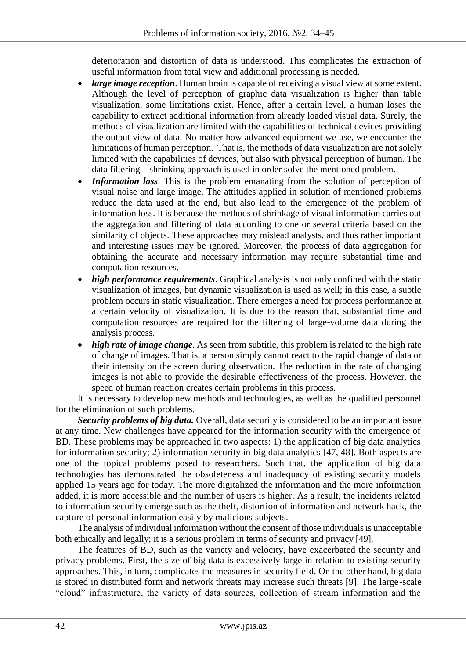deterioration and distortion of data is understood. This complicates the extraction of useful information from total view and additional processing is needed.

- *large image reception*. Human brain is capable of receiving a visual view at some extent. Although the level of perception of graphic data visualization is higher than table visualization, some limitations exist. Hence, after a certain level, a human loses the capability to extract additional information from already loaded visual data. Surely, the methods of visualization are limited with the capabilities of technical devices providing the output view of data. No matter how advanced equipment we use, we encounter the limitations of human perception. That is, the methods of data visualization are not solely limited with the capabilities of devices, but also with physical perception of human. The data filtering – shrinking approach is used in order solve the mentioned problem.
- *Information loss*. This is the problem emanating from the solution of perception of visual noise and large image. The attitudes applied in solution of mentioned problems reduce the data used at the end, but also lead to the emergence of the problem of information loss. It is because the methods of shrinkage of visual information carries out the aggregation and filtering of data according to one or several criteria based on the similarity of objects. These approaches may mislead analysts, and thus rather important and interesting issues may be ignored. Moreover, the process of data aggregation for obtaining the accurate and necessary information may require substantial time and computation resources.
- *high performance requirements*. Graphical analysis is not only confined with the static visualization of images, but dynamic visualization is used as well; in this case, a subtle problem occurs in static visualization. There emerges a need for process performance at a certain velocity of visualization. It is due to the reason that, substantial time and computation resources are required for the filtering of large-volume data during the analysis process.
- *high rate of image change*. As seen from subtitle, this problem is related to the high rate of change of images. That is, a person simply cannot react to the rapid change of data or their intensity on the screen during observation. The reduction in the rate of changing images is not able to provide the desirable effectiveness of the process. However, the speed of human reaction creates certain problems in this process.

It is necessary to develop new methods and technologies, as well as the qualified personnel for the elimination of such problems.

*Security problems of big data.* Overall, data security is considered to be an important issue at any time. New challenges have appeared for the information security with the emergence of BD. These problems may be approached in two aspects: 1) the application of big data analytics for information security; 2) information security in big data analytics [47, 48]. Both aspects are one of the topical problems posed to researchers. Such that, the application of big data technologies has demonstrated the obsoleteness and inadequacy of existing security models applied 15 years ago for today. The more digitalized the information and the more information added, it is more accessible and the number of users is higher. As a result, the incidents related to information security emerge such as the theft, distortion of information and network hack, the capture of personal information easily by malicious subjects.

The analysis of individual information without the consent of those individuals is unacceptable both ethically and legally; it is a serious problem in terms of security and privacy [49].

The features of BD, such as the variety and velocity, have exacerbated the security and privacy problems. First, the size of big data is excessively large in relation to existing security approaches. This, in turn, complicates the measures in security field. On the other hand, big data is stored in distributed form and network threats may increase such threats [9]. The large-scale "cloud" infrastructure, the variety of data sources, collection of stream information and the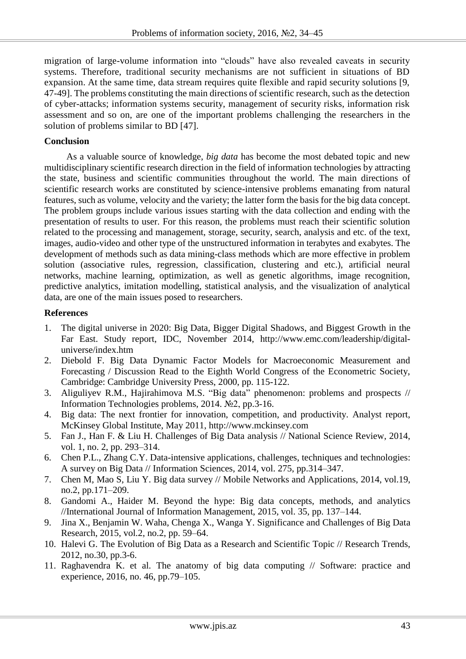migration of large-volume information into "clouds" have also revealed caveats in security systems. Therefore, traditional security mechanisms are not sufficient in situations of BD expansion. At the same time, data stream requires quite flexible and rapid security solutions [9, 47-49]. The problems constituting the main directions of scientific research, such as the detection of cyber-attacks; information systems security, management of security risks, information risk assessment and so on, are one of the important problems challenging the researchers in the solution of problems similar to BD [47].

#### **Conclusion**

As a valuable source of knowledge, *big data* has become the most debated topic and new multidisciplinary scientific research direction in the field of information technologies by attracting the state, business and scientific communities throughout the world. The main directions of scientific research works are constituted by science-intensive problems emanating from natural features, such as volume, velocity and the variety; the latter form the basis for the big data concept. The problem groups include various issues starting with the data collection and ending with the presentation of results to user. For this reason, the problems must reach their scientific solution related to the processing and management, storage, security, search, analysis and etc. of the text, images, audio-video and other type of the unstructured information in terabytes and exabytes. The development of methods such as data mining-class methods which are more effective in problem solution (associative rules, regression, classification, clustering and etc.), artificial neural networks, machine learning, optimization, as well as genetic algorithms, image recognition, predictive analytics, imitation modelling, statistical analysis, and the visualization of analytical data, are one of the main issues posed to researchers.

#### **References**

- 1. The digital universe in 2020: Big Data, Bigger Digital Shadows, and Biggest Growth in the Far East. Study report, IDC, November 2014, http://www.emc.com/leadership/digitaluniverse/index.htm
- 2. Diebold F. Big Data Dynamic Factor Models for Macroeconomic Measurement and Forecasting / Discussion Read to the Eighth World Congress of the Econometric Society, Cambridge: Cambridge University Press, 2000, pp. 115-122.
- 3. Aliguliyev R.M., Hajirahimova M.S. "Big data" phenomenon: problems and prospects // Information Technologies problems, 2014. №2, pp.3-16.
- 4. Big data: The next frontier for innovation, competition, and productivity. Analyst report, McKinsey Global Institute, May 2011, http://www.mckinsey.com
- 5. Fan J., Han F. & Liu H. Challenges of Big Data analysis // National Science Review, 2014, vol. 1, no. 2, pp. 293–314.
- 6. Chen P.L., Zhang C.Y. Data-intensive applications, challenges, techniques and technologies: A survey on Big Data // Information Sciences, 2014, vol. 275, pp.314–347.
- 7. Chen M, Mao S, Liu Y. Big data survey // Mobile Networks and Applications, 2014, vol.19, no.2, pp.171–209.
- 8. Gandomi A., Haider M. Beyond the hype: Big data concepts, methods, and analytics //International Journal of Information Management, 2015, vol. 35, pp. 137–144.
- 9. Jina X., Benjamin W. Waha, Chenga X., Wanga Y. Significance and Challenges of Big Data Research, 2015, vol.2, no.2, pp. 59–64.
- 10. Halevi G. The Evolution of Big Data as a Research and Scientific Topic // Research Trends, 2012, no.30, pp.3-6.
- 11. Raghavendra K. et al. The anatomy of big data computing // Software: practice and experience, 2016, no. 46, pp.79–105.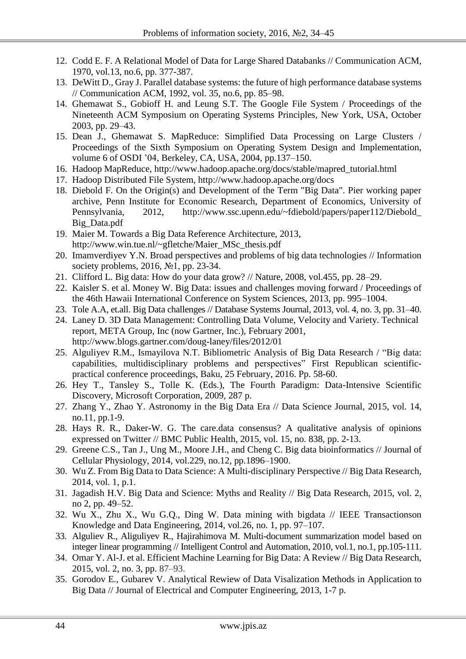- 12. Codd E. F. A Relational Model of Data for Large Shared Databanks // Communication ACM, 1970, vol.13, no.6, pp. 377-387.
- 13. DeWitt D., Gray J. Parallel database systems: the future of high performance database systems // Communication ACM, 1992, vol. 35, no.6, pp. 85–98.
- 14. Ghemawat S., Gobioff H. and Leung S.T. The Google File System / Proceedings of the Nineteenth ACM Symposium on Operating Systems Principles, New York, USA, October 2003, pp. 29–43.
- 15. Dean J., Ghemawat S. MapReduce: Simplified Data Processing on Large Clusters / Proceedings of the Sixth Symposium on Operating System Design and Implementation, volume 6 of OSDI '04, Berkeley, CA, USA, 2004, pp.137–150.
- 16. Hadoop MapReduce, http://www.hadoop.apache.org/docs/stable/mapred\_tutorial.html
- 17. Hadoop Distributed File System, http://www.hadoop.apache.org/docs
- 18. Diebold F. On the Origin(s) and Development of the Term "Big Data". Pier working paper archive, Penn Institute for Economic Research, Department of Economics, University of Pennsylvania, 2012, [http://www.ssc.upenn.edu/~fdiebold/papers/paper112/Diebold\\_](http://www.ssc.upenn.edu/~fdiebold/papers/paper112/Diebold_) Big\_Data.pdf
- 19. Maier M. Towards a Big Data Reference Architecture, 2013, http://www.win.tue.nl/~gfletche/Maier\_MSc\_thesis.pdf
- 20. Imamverdiyev Y.N. Broad perspectives and problems of big data technologies // Information society problems, 2016, №1, pp. 23-34.
- 21. Clifford L. Big data: How do your data grow? // Nature, 2008, vol.455, pp. 28–29.
- 22. Kaisler S. et al. Money W. Big Data: issues and challenges moving forward / Proceedings of the 46th Hawaii International Conference on System Sciences, 2013, pp. 995–1004.
- 23. Tole A.A, et.all. Big Data challenges // Database Systems Journal, 2013, vol. 4, no. 3, pp. 31–40.
- 24. Laney D. 3D Data Management: Controlling Data Volume, Velocity and Variety. Technical report, META Group, Inc (now Gartner, Inc.), February 2001, http://www.blogs.gartner.com/doug-laney/files/2012/01
- 25. Alguliyev R.M., Ismayilova N.T. Bibliometric Analysis of Big Data Research / "Big data: capabilities, multidisciplinary problems and perspectives" First Republican scientificpractical conference proceedings, Baku, 25 February, 2016. Pp. 58-60.
- 26. Hey T., Tansley S., Tolle K. (Eds.), The Fourth Paradigm: Data-Intensive Scientific Discovery, Microsoft Corporation, 2009, 287 p.
- 27. Zhang Y., Zhao Y. Astronomy in the Big Data Era // Data Science Journal, 2015, vol. 14, no.11, pp.1-9.
- 28. Hays R. R., Daker-W. G. The care.data consensus? A qualitative analysis of opinions expressed on Twitter // BMC Public Health, 2015, vol. 15, no. 838, pp. 2-13.
- 29. Greene C.S., Tan J., Ung M., Moore J.H., and Cheng C. Big data bioinformatics // Journal of Cellular Physiology, 2014, vol.229, no.12, pp.1896–1900.
- 30. Wu Z. From Big Data to Data Science: A Multi-disciplinary Perspective // Big Data Research, 2014, vol. 1, p.1.
- 31. Jagadish H.V. Big Data and Science: Myths and Reality // Big Data Research, 2015, vol. 2, no 2, pp. 49–52.
- 32. Wu X., Zhu X., Wu G.Q., Ding W. Data mining with bigdata // IEEE Transactionson Knowledge and Data Engineering, 2014, vol.26, no. 1, pp. 97–107.
- 33. Alguliev R., Aliguliyev R., Hajirahimova M. Multi-document summarization model based on integer linear programming // Intelligent Control and Automation, 2010, vol.1, no.1, pp.105-111.
- 34. Omar Y. Al-J. et al. Efficient Machine Learning for Big Data: A Review // Big Data Research, 2015, vol. 2, no. 3, pp. 87–93.
- 35. Gorodov E., Gubarev V. Analytical Rewiew of Data Visalization Methods in Application to Big Data // Journal of Electrical and Computer Engineering, 2013, 1-7 p.